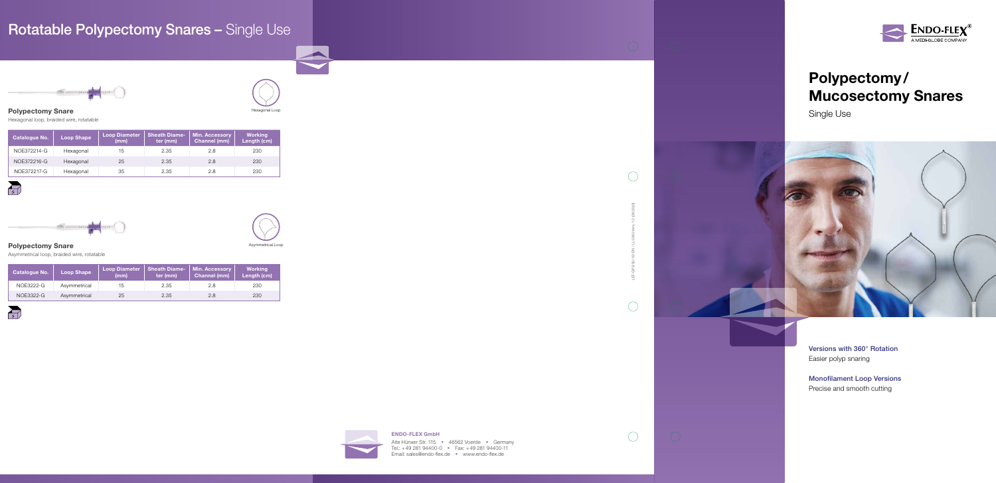## Polypectomy/ Mucosectomy Snares

Single Use



Easier polyp snaring

Monofilament Loop Versions Precise and smooth cutting

Alte Hünxer Str. 115 • 46562 Voerde • Germany Tel.: +49 281 94400-0 • Fax: +49 281 94400-11 Email: sales@endo-flex.de • www.endo-flex.de



# Rotatable Polypectomy Snares - Single Use





### ENDO-FLEX GmbH

LEF-GPS-SU-00-EN / LL-0363 Vers. 1.0 (08/2020)

 $\bigcirc$ 

 $\bigcirc$ 

 $\bigcirc$ 

## Polypectomy Snare

Hexagonal loop, braided wire, rotatable

| <b>Catalogue No.</b> | Loop Shape | Loop Diameter<br>(mm) | <b>Sheath Diame-</b><br>ter (mm) | Min. Accessory<br><b>Channel (mm)</b> | <b>Working</b><br>Length (cm) |
|----------------------|------------|-----------------------|----------------------------------|---------------------------------------|-------------------------------|
| NOE372214-G          | Hexagonal  | 15                    | 2.35                             | 2.8                                   | 230                           |
| NOE372216-G          | Hexagonal  | 25                    | 2.35                             | 2.8                                   | 230                           |
| NOE372217-G          | Hexagonal  | 35                    | 2.35                             | 2.8                                   | 230                           |





| <b>Catalogue No.</b> | <b>Loop Shape</b> | Loop Diameter<br>(mm) | <b>Sheath Diame-</b><br>ter (mm) | <b>Min. Accessory</b><br><b>Channel (mm)</b> | <b>Working</b><br>Length (cm) |
|----------------------|-------------------|-----------------------|----------------------------------|----------------------------------------------|-------------------------------|
| NOE3222-G            | Asymmetrical      | 15                    | 2.35                             | 2.8                                          | 230                           |
| NOE3322-G            | Asymmetrical      | 25                    | 2.35                             | 2.8                                          | 230                           |





## Polypectomy Snare

Asymmetrical loop, braided wire, rotatable